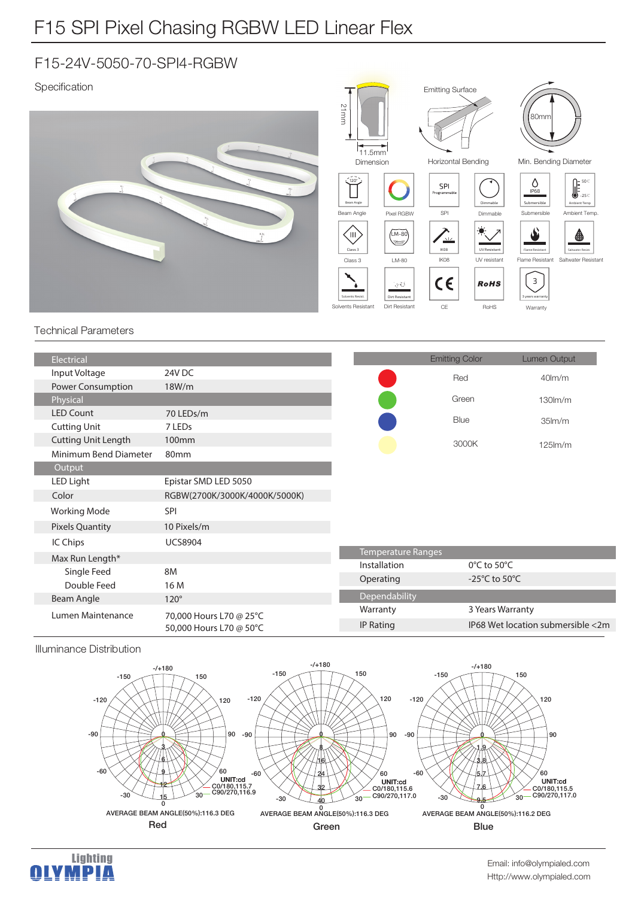## F15-24V-5050-70-SPI4-RGBW

Specification



## Technical Parameters

| Electrical                 |                                                    |                    | <b>Emitting Color</b>               | Lumen Output                      |
|----------------------------|----------------------------------------------------|--------------------|-------------------------------------|-----------------------------------|
| Input Voltage              | 24V DC                                             |                    |                                     |                                   |
| Power Consumption          | 18W/m                                              |                    | Red                                 | $40$ lm/m                         |
| Physical                   |                                                    |                    | Green                               | $130lm$ /m                        |
| <b>LED Count</b>           | 70 LEDs/m                                          |                    |                                     |                                   |
| <b>Cutting Unit</b>        | 7 LED <sub>s</sub>                                 |                    | Blue                                | 35 <sub>lm</sub> /m               |
| <b>Cutting Unit Length</b> | 100 <sub>mm</sub>                                  |                    |                                     | $125$ $\text{Im/m}$               |
| Minimum Bend Diameter      | 80mm                                               |                    | 3000K                               |                                   |
| Output                     |                                                    |                    |                                     |                                   |
| LED Light                  | Epistar SMD LED 5050                               |                    |                                     |                                   |
|                            |                                                    |                    |                                     |                                   |
| Color                      | RGBW(2700K/3000K/4000K/5000K)                      |                    |                                     |                                   |
| <b>Working Mode</b>        | <b>SPI</b>                                         |                    |                                     |                                   |
| <b>Pixels Quantity</b>     | 10 Pixels/m                                        |                    |                                     |                                   |
| IC Chips                   | <b>UCS8904</b>                                     |                    |                                     |                                   |
| Max Run Length*            |                                                    | Temperature Ranges |                                     |                                   |
| Single Feed                | 8M                                                 | Installation       | $0^{\circ}$ C to 50 $^{\circ}$ C    |                                   |
| Double Feed                | 16 M                                               | Operating          | -25 $^{\circ}$ C to 50 $^{\circ}$ C |                                   |
| Beam Angle                 | $120^\circ$                                        | Dependability      |                                     |                                   |
|                            | 70,000 Hours L70 @ 25°C<br>50,000 Hours L70 @ 50°C | Warranty           | 3 Years Warranty                    |                                   |
| Lumen Maintenance          |                                                    | IP Rating          |                                     | IP68 Wet location submersible <2m |
|                            |                                                    |                    |                                     |                                   |

## Illuminance Distribution